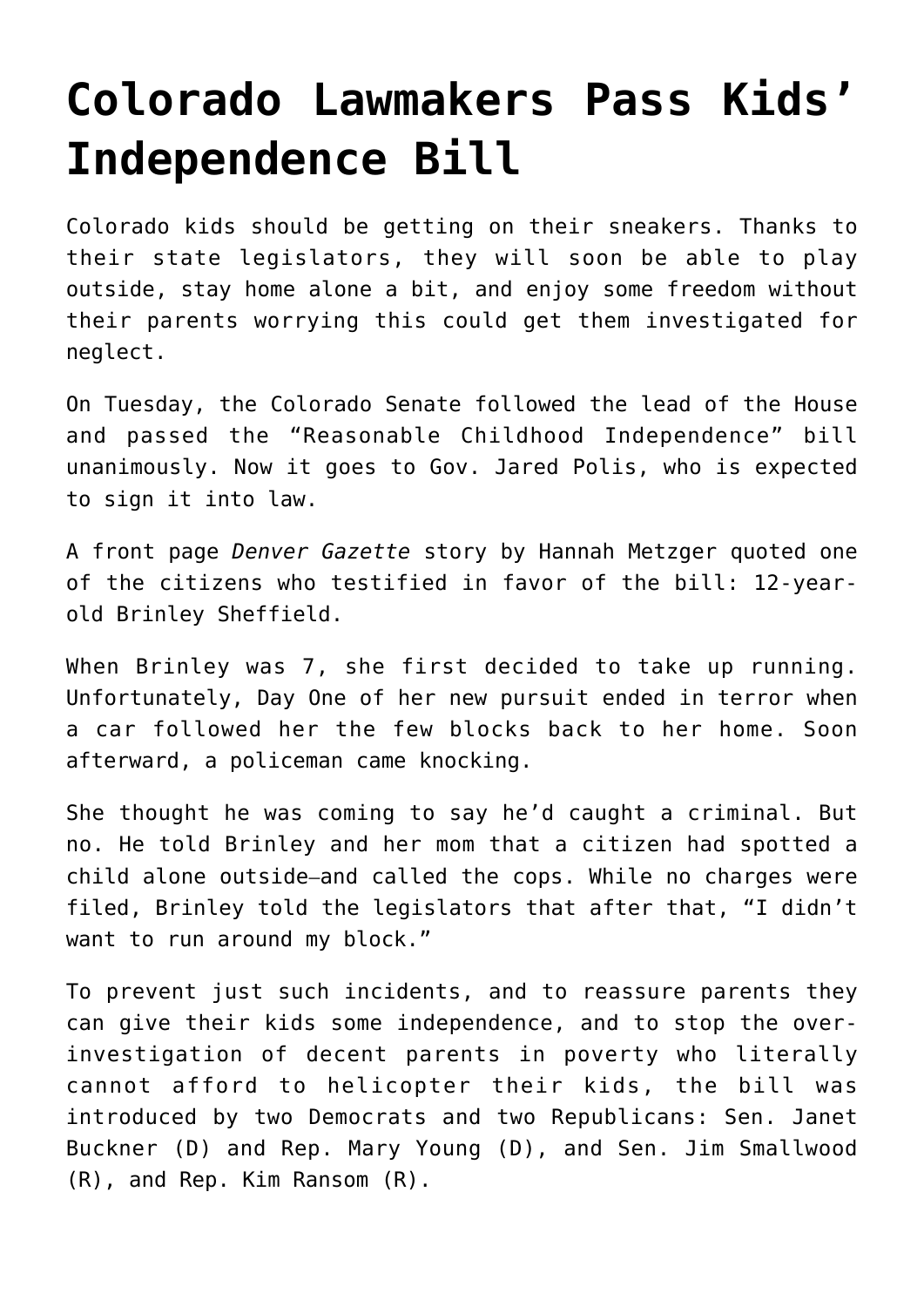## **[Colorado Lawmakers Pass Kids'](https://intellectualtakeout.org/2022/03/colorado-lawmakers-pass-kids-independence-bill/) [Independence Bill](https://intellectualtakeout.org/2022/03/colorado-lawmakers-pass-kids-independence-bill/)**

Colorado kids should be getting on their sneakers. Thanks to their state legislators, they will soon be able to play outside, stay home alone a bit, and enjoy some freedom without their parents worrying this could get them investigated for neglect.

On Tuesday, the Colorado Senate followed the lead of the House and passed the "Reasonable Childhood Independence" bill unanimously. Now it goes to Gov. Jared Polis, who is expected to sign it into law.

A front page *Denver Gazette* story by Hannah Metzger quoted one of the citizens who testified in favor of the bill: 12-yearold Brinley Sheffield.

When Brinley was 7, she first decided to take up running. Unfortunately, Day One of her new pursuit ended in terror when a car followed her the few blocks back to her home. Soon afterward, a policeman came knocking.

She thought he was coming to say he'd caught a criminal. But no. He told Brinley and her mom that a citizen had spotted a child alone outside—and called the cops. While no charges were filed, Brinley told the legislators that after that, "I didn't want to run around my block."

To prevent just such incidents, and to reassure parents they can give their kids some independence, and to stop the overinvestigation of decent parents in poverty who literally cannot afford to helicopter their kids, the bill was introduced by two Democrats and two Republicans: Sen. Janet Buckner (D) and Rep. Mary Young (D), and Sen. Jim Smallwood (R), and Rep. Kim Ransom (R).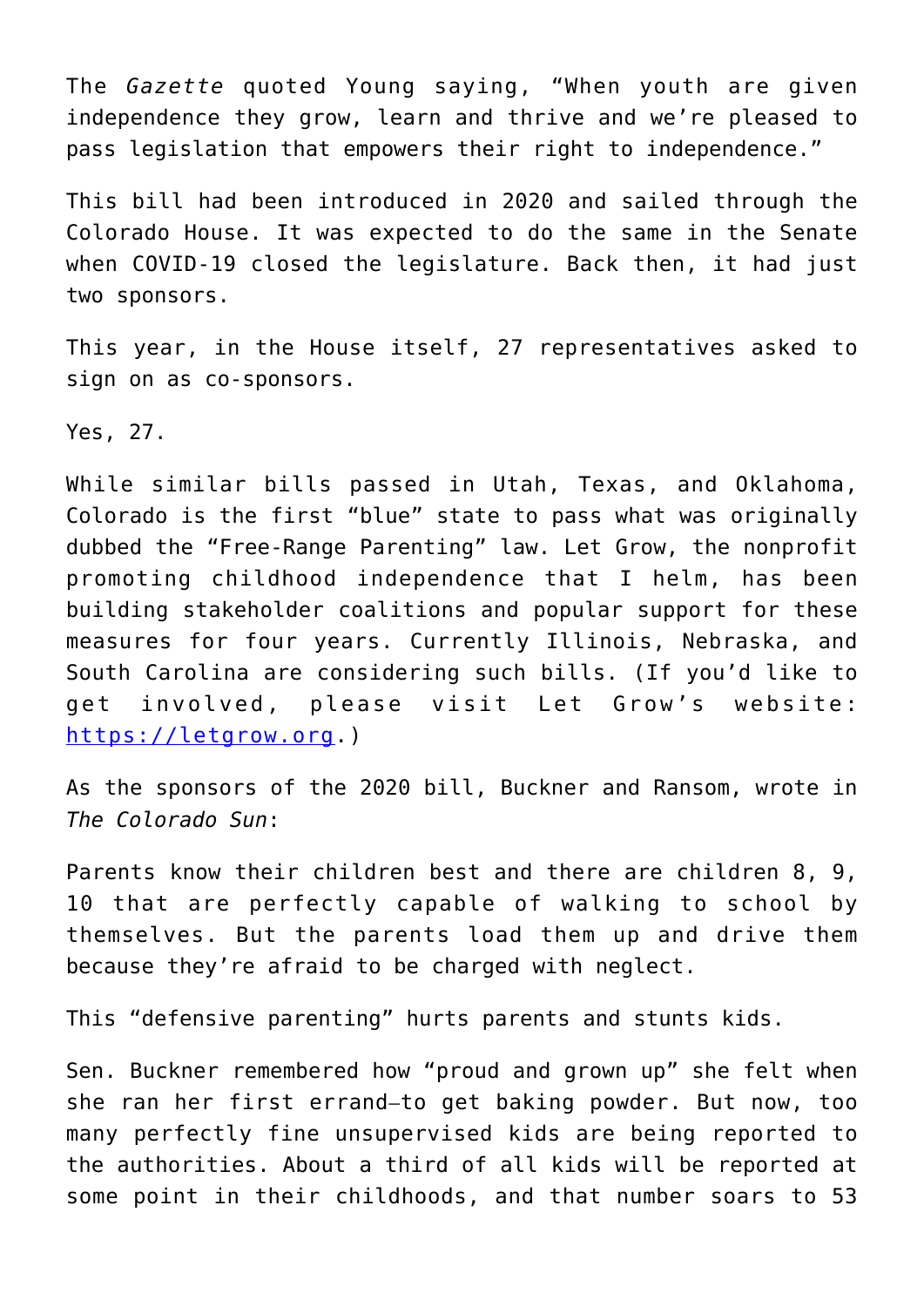The *Gazette* quoted Young saying, "When youth are given independence they grow, learn and thrive and we're pleased to pass legislation that empowers their right to independence."

This bill had been introduced in 2020 and sailed through the Colorado House. It was expected to do the same in the Senate when COVID-19 closed the legislature. Back then, it had just two sponsors.

This year, in the House itself, 27 representatives asked to sign on as co-sponsors.

Yes, 27.

While similar bills passed in Utah, Texas, and Oklahoma, Colorado is the first "blue" state to pass what was originally dubbed the "Free-Range Parenting" law. Let Grow, the nonprofit promoting childhood independence that I helm, has been building stakeholder coalitions and popular support for these measures for four years. Currently Illinois, Nebraska, and South Carolina are considering such bills. (If you'd like to get involved, please visit Let Grow's website: [https://letgrow.org.](https://letgrow.org))

As the sponsors of the 2020 bill, Buckner and Ransom, wrote in *The Colorado Sun*:

Parents know their children best and there are children 8, 9, 10 that are perfectly capable of walking to school by themselves. But the parents load them up and drive them because they're afraid to be charged with neglect.

This "defensive parenting" hurts parents and stunts kids.

Sen. Buckner remembered how "proud and grown up" she felt when she ran her first errand—to get baking powder. But now, too many perfectly fine unsupervised kids are being reported to the authorities. About a third of all kids will be reported at some point in their childhoods, and that number soars to 53